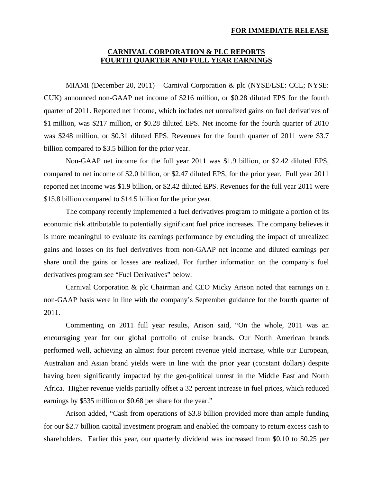## **FOR IMMEDIATE RELEASE**

## **CARNIVAL CORPORATION & PLC REPORTS FOURTH QUARTER AND FULL YEAR EARNINGS**

MIAMI (December 20, 2011) – Carnival Corporation & plc (NYSE/LSE: CCL; NYSE: CUK) announced non-GAAP net income of \$216 million, or \$0.28 diluted EPS for the fourth quarter of 2011. Reported net income, which includes net unrealized gains on fuel derivatives of \$1 million, was \$217 million, or \$0.28 diluted EPS. Net income for the fourth quarter of 2010 was \$248 million, or \$0.31 diluted EPS. Revenues for the fourth quarter of 2011 were \$3.7 billion compared to \$3.5 billion for the prior year.

Non-GAAP net income for the full year 2011 was \$1.9 billion, or \$2.42 diluted EPS, compared to net income of \$2.0 billion, or \$2.47 diluted EPS, for the prior year. Full year 2011 reported net income was \$1.9 billion, or \$2.42 diluted EPS. Revenues for the full year 2011 were \$15.8 billion compared to \$14.5 billion for the prior year.

The company recently implemented a fuel derivatives program to mitigate a portion of its economic risk attributable to potentially significant fuel price increases. The company believes it is more meaningful to evaluate its earnings performance by excluding the impact of unrealized gains and losses on its fuel derivatives from non-GAAP net income and diluted earnings per share until the gains or losses are realized. For further information on the company's fuel derivatives program see "Fuel Derivatives" below.

Carnival Corporation & plc Chairman and CEO Micky Arison noted that earnings on a non-GAAP basis were in line with the company's September guidance for the fourth quarter of 2011.

Commenting on 2011 full year results, Arison said, "On the whole, 2011 was an encouraging year for our global portfolio of cruise brands. Our North American brands performed well, achieving an almost four percent revenue yield increase, while our European, Australian and Asian brand yields were in line with the prior year (constant dollars) despite having been significantly impacted by the geo-political unrest in the Middle East and North Africa. Higher revenue yields partially offset a 32 percent increase in fuel prices, which reduced earnings by \$535 million or \$0.68 per share for the year."

 Arison added, "Cash from operations of \$3.8 billion provided more than ample funding for our \$2.7 billion capital investment program and enabled the company to return excess cash to shareholders. Earlier this year, our quarterly dividend was increased from \$0.10 to \$0.25 per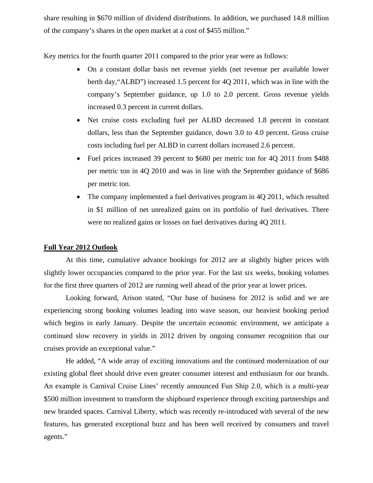share resulting in \$670 million of dividend distributions. In addition, we purchased 14.8 million of the company's shares in the open market at a cost of \$455 million."

Key metrics for the fourth quarter 2011 compared to the prior year were as follows:

- On a constant dollar basis net revenue yields (net revenue per available lower berth day,"ALBD") increased 1.5 percent for 4Q 2011, which was in line with the company's September guidance, up 1.0 to 2.0 percent. Gross revenue yields increased 0.3 percent in current dollars.
- Net cruise costs excluding fuel per ALBD decreased 1.8 percent in constant dollars, less than the September guidance, down 3.0 to 4.0 percent. Gross cruise costs including fuel per ALBD in current dollars increased 2.6 percent.
- Fuel prices increased 39 percent to \$680 per metric ton for 4Q 2011 from \$488 per metric ton in 4Q 2010 and was in line with the September guidance of \$686 per metric ton.
- The company implemented a fuel derivatives program in 4Q 2011, which resulted in \$1 million of net unrealized gains on its portfolio of fuel derivatives. There were no realized gains or losses on fuel derivatives during 4Q 2011.

## **Full Year 2012 Outlook**

At this time, cumulative advance bookings for 2012 are at slightly higher prices with slightly lower occupancies compared to the prior year. For the last six weeks, booking volumes for the first three quarters of 2012 are running well ahead of the prior year at lower prices.

Looking forward, Arison stated, "Our base of business for 2012 is solid and we are experiencing strong booking volumes leading into wave season, our heaviest booking period which begins in early January. Despite the uncertain economic environment, we anticipate a continued slow recovery in yields in 2012 driven by ongoing consumer recognition that our cruises provide an exceptional value."

He added, "A wide array of exciting innovations and the continued modernization of our existing global fleet should drive even greater consumer interest and enthusiasm for our brands. An example is Carnival Cruise Lines' recently announced Fun Ship 2.0, which is a multi-year \$500 million investment to transform the shipboard experience through exciting partnerships and new branded spaces. Carnival Liberty, which was recently re-introduced with several of the new features, has generated exceptional buzz and has been well received by consumers and travel agents."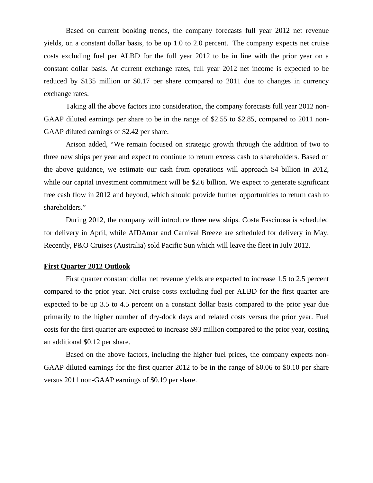Based on current booking trends, the company forecasts full year 2012 net revenue yields, on a constant dollar basis, to be up 1.0 to 2.0 percent. The company expects net cruise costs excluding fuel per ALBD for the full year 2012 to be in line with the prior year on a constant dollar basis. At current exchange rates, full year 2012 net income is expected to be reduced by \$135 million or \$0.17 per share compared to 2011 due to changes in currency exchange rates.

Taking all the above factors into consideration, the company forecasts full year 2012 non-GAAP diluted earnings per share to be in the range of \$2.55 to \$2.85, compared to 2011 non-GAAP diluted earnings of \$2.42 per share.

Arison added, "We remain focused on strategic growth through the addition of two to three new ships per year and expect to continue to return excess cash to shareholders. Based on the above guidance, we estimate our cash from operations will approach \$4 billion in 2012, while our capital investment commitment will be \$2.6 billion. We expect to generate significant free cash flow in 2012 and beyond, which should provide further opportunities to return cash to shareholders."

During 2012, the company will introduce three new ships. Costa Fascinosa is scheduled for delivery in April, while AIDAmar and Carnival Breeze are scheduled for delivery in May. Recently, P&O Cruises (Australia) sold Pacific Sun which will leave the fleet in July 2012.

## **First Quarter 2012 Outlook**

First quarter constant dollar net revenue yields are expected to increase 1.5 to 2.5 percent compared to the prior year. Net cruise costs excluding fuel per ALBD for the first quarter are expected to be up 3.5 to 4.5 percent on a constant dollar basis compared to the prior year due primarily to the higher number of dry-dock days and related costs versus the prior year. Fuel costs for the first quarter are expected to increase \$93 million compared to the prior year, costing an additional \$0.12 per share.

Based on the above factors, including the higher fuel prices, the company expects non-GAAP diluted earnings for the first quarter 2012 to be in the range of \$0.06 to \$0.10 per share versus 2011 non-GAAP earnings of \$0.19 per share.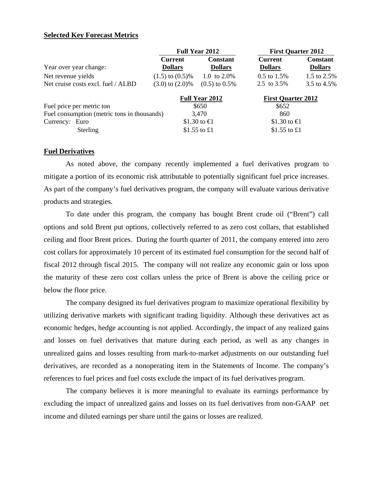## **Selected Key Forecast Metrics**

|                                             |                                  | <b>Full Year 2012</b>             |                                  | <b>First Quarter 2012</b>         |
|---------------------------------------------|----------------------------------|-----------------------------------|----------------------------------|-----------------------------------|
| Year over year change:                      | <b>Current</b><br><b>Dollars</b> | <b>Constant</b><br><b>Dollars</b> | <b>Current</b><br><b>Dollars</b> | <b>Constant</b><br><b>Dollars</b> |
| Net revenue yields                          | $(1.5)$ to $(0.5)\%$             | 1.0 to $2.0\%$                    | $0.5$ to $1.5%$                  | 1.5 to 2.5%                       |
| Net cruise costs excl. fuel / ALBD          | $(3.0)$ to $(2.0)\%$             | $(0.5)$ to $0.5\%$                | 2.5 to 3.5%                      | 3.5 to 4.5%                       |
|                                             |                                  | Full Year 2012                    | <b>First Quarter 2012</b>        |                                   |
| Fuel price per metric ton                   |                                  | \$650                             | \$652                            |                                   |
| Fuel consumption (metric tons in thousands) |                                  | 3,470                             | 860                              |                                   |
| Currency: Euro                              |                                  | \$1.30 to €1                      | \$1.30 to $\bigoplus$            |                                   |
| Sterling                                    |                                  | \$1.55 to £1                      | \$1.55 to $£1$                   |                                   |

## **Fuel Derivatives**

As noted above, the company recently implemented a fuel derivatives program to mitigate a portion of its economic risk attributable to potentially significant fuel price increases. As part of the company's fuel derivatives program, the company will evaluate various derivative products and strategies.

To date under this program, the company has bought Brent crude oil ("Brent") call options and sold Brent put options, collectively referred to as zero cost collars, that established ceiling and floor Brent prices. During the fourth quarter of 2011, the company entered into zero cost collars for approximately 10 percent of its estimated fuel consumption for the second half of fiscal 2012 through fiscal 2015. The company will not realize any economic gain or loss upon the maturity of these zero cost collars unless the price of Brent is above the ceiling price or below the floor price.

The company designed its fuel derivatives program to maximize operational flexibility by utilizing derivative markets with significant trading liquidity. Although these derivatives act as economic hedges, hedge accounting is not applied. Accordingly, the impact of any realized gains and losses on fuel derivatives that mature during each period, as well as any changes in unrealized gains and losses resulting from mark-to-market adjustments on our outstanding fuel derivatives, are recorded as a nonoperating item in the Statements of Income. The company's references to fuel prices and fuel costs exclude the impact of its fuel derivatives program.

The company believes it is more meaningful to evaluate its earnings performance by excluding the impact of unrealized gains and losses on its fuel derivatives from non-GAAP net income and diluted earnings per share until the gains or losses are realized.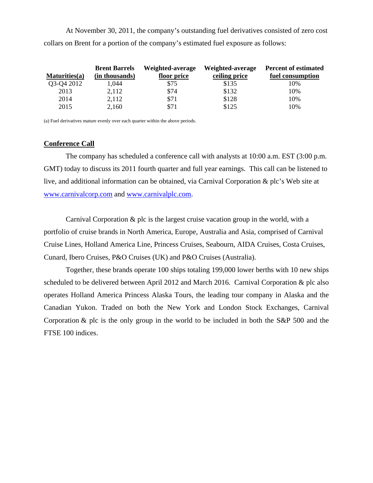At November 30, 2011, the company's outstanding fuel derivatives consisted of zero cost collars on Brent for a portion of the company's estimated fuel exposure as follows:

|               | <b>Brent Barrels</b> | Weighted-average | Weighted-average | <b>Percent of estimated</b> |
|---------------|----------------------|------------------|------------------|-----------------------------|
| Maturities(a) | (in thousands)       | floor price      | ceiling price    | fuel consumption            |
| Q3-Q4 2012    | 1,044                | \$75             | \$135            | 10%                         |
| 2013          | 2,112                | \$74             | \$132            | 10%                         |
| 2014          | 2,112                | \$71             | \$128            | 10%                         |
| 2015          | 2,160                | \$71             | \$125            | 10%                         |

(a) Fuel derivatives mature evenly over each quarter within the above periods.

## **Conference Call**

The company has scheduled a conference call with analysts at 10:00 a.m. EST (3:00 p.m. GMT) today to discuss its 2011 fourth quarter and full year earnings. This call can be listened to live, and additional information can be obtained, via Carnival Corporation & plc's Web site at www.carnivalcorp.com and www.carnivalplc.com.

Carnival Corporation & plc is the largest cruise vacation group in the world, with a portfolio of cruise brands in North America, Europe, Australia and Asia, comprised of Carnival Cruise Lines, Holland America Line, Princess Cruises, Seabourn, AIDA Cruises, Costa Cruises, Cunard, Ibero Cruises, P&O Cruises (UK) and P&O Cruises (Australia).

Together, these brands operate 100 ships totaling 199,000 lower berths with 10 new ships scheduled to be delivered between April 2012 and March 2016. Carnival Corporation & plc also operates Holland America Princess Alaska Tours, the leading tour company in Alaska and the Canadian Yukon. Traded on both the New York and London Stock Exchanges, Carnival Corporation & plc is the only group in the world to be included in both the S&P 500 and the FTSE 100 indices.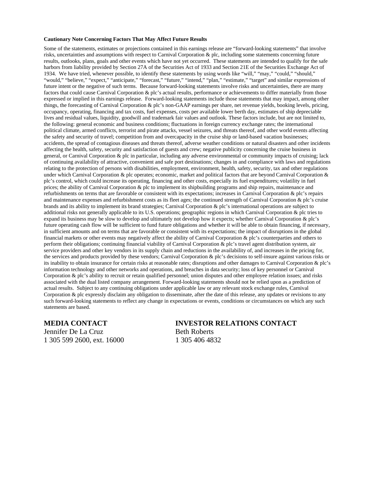#### **Cautionary Note Concerning Factors That May Affect Future Results**

Some of the statements, estimates or projections contained in this earnings release are "forward-looking statements" that involve risks, uncertainties and assumptions with respect to Carnival Corporation & plc, including some statements concerning future results, outlooks, plans, goals and other events which have not yet occurred. These statements are intended to qualify for the safe harbors from liability provided by Section 27A of the Securities Act of 1933 and Section 21E of the Securities Exchange Act of 1934. We have tried, whenever possible, to identify these statements by using words like "will," "may," "could," "should," "would," "believe," "expect," "anticipate," "forecast," "future," "intend," "plan," "estimate," "target" and similar expressions of future intent or the negative of such terms. Because forward-looking statements involve risks and uncertainties, there are many factors that could cause Carnival Corporation & plc's actual results, performance or achievements to differ materially from those expressed or implied in this earnings release. Forward-looking statements include those statements that may impact, among other things, the forecasting of Carnival Corporation & plc's non-GAAP earnings per share, net revenue yields, booking levels, pricing, occupancy, operating, financing and tax costs, fuel expenses, costs per available lower berth day, estimates of ship depreciable lives and residual values, liquidity, goodwill and trademark fair values and outlook. These factors include, but are not limited to, the following: general economic and business conditions; fluctuations in foreign currency exchange rates; the international political climate, armed conflicts, terrorist and pirate attacks, vessel seizures, and threats thereof, and other world events affecting the safety and security of travel; competition from and overcapacity in the cruise ship or land-based vacation businesses; accidents, the spread of contagious diseases and threats thereof, adverse weather conditions or natural disasters and other incidents affecting the health, safety, security and satisfaction of guests and crew; negative publicity concerning the cruise business in general, or Carnival Corporation & plc in particular, including any adverse environmental or community impacts of cruising; lack of continuing availability of attractive, convenient and safe port destinations; changes in and compliance with laws and regulations relating to the protection of persons with disabilities, employment, environment, health, safety, security, tax and other regulations under which Carnival Corporation & plc operates; economic, market and political factors that are beyond Carnival Corporation & plc's control, which could increase its operating, financing and other costs, especially its fuel expenditures; volatility in fuel prices; the ability of Carnival Corporation & plc to implement its shipbuilding programs and ship repairs, maintenance and refurbishments on terms that are favorable or consistent with its expectations; increases in Carnival Corporation & plc's repairs and maintenance expenses and refurbishment costs as its fleet ages; the continued strength of Carnival Corporation & plc's cruise brands and its ability to implement its brand strategies; Carnival Corporation & plc's international operations are subject to additional risks not generally applicable to its U.S. operations; geographic regions in which Carnival Corporation & plc tries to expand its business may be slow to develop and ultimately not develop how it expects; whether Carnival Corporation & plc's future operating cash flow will be sufficient to fund future obligations and whether it will be able to obtain financing, if necessary, in sufficient amounts and on terms that are favorable or consistent with its expectations; the impact of disruptions in the global financial markets or other events may negatively affect the ability of Carnival Corporation & plc's counterparties and others to perform their obligations; continuing financial viability of Carnival Corporation & plc's travel agent distribution system, air service providers and other key vendors in its supply chain and reductions in the availability of, and increases in the pricing for, the services and products provided by these vendors; Carnival Corporation & plc's decisions to self-insure against various risks or its inability to obtain insurance for certain risks at reasonable rates; disruptions and other damages to Carnival Corporation & plc's information technology and other networks and operations, and breaches in data security; loss of key personnel or Carnival Corporation & plc's ability to recruit or retain qualified personnel; union disputes and other employee relation issues; and risks associated with the dual listed company arrangement. Forward-looking statements should not be relied upon as a prediction of actual results. Subject to any continuing obligations under applicable law or any relevant stock exchange rules, Carnival Corporation & plc expressly disclaim any obligation to disseminate, after the date of this release, any updates or revisions to any such forward-looking statements to reflect any change in expectations or events, conditions or circumstances on which any such statements are based.

Jennifer De La Cruz Beth Roberts 1 305 599 2600, ext. 16000 1 305 406 4832

## **MEDIA CONTACT INVESTOR RELATIONS CONTACT**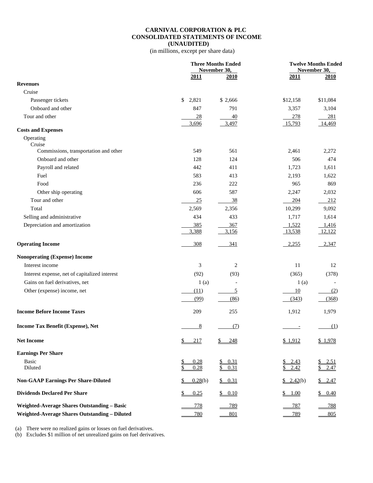### **CARNIVAL CORPORATION & PLC CONSOLIDATED STATEMENTS OF INCOME (UNAUDITED)**

(in millions, except per share data)

|                                                      |                       | <b>Three Months Ended</b><br>November 30, |                          | <b>Twelve Months Ended</b><br>November 30, |  |  |  |
|------------------------------------------------------|-----------------------|-------------------------------------------|--------------------------|--------------------------------------------|--|--|--|
|                                                      | 2011                  | <u>2010</u>                               | 2011                     | <b>2010</b>                                |  |  |  |
| <b>Revenues</b>                                      |                       |                                           |                          |                                            |  |  |  |
| Cruise                                               |                       |                                           |                          |                                            |  |  |  |
| Passenger tickets                                    | \$<br>2,821           | \$ 2,666                                  | \$12,158                 | \$11,084                                   |  |  |  |
| Onboard and other                                    | 847                   | 791                                       | 3,357                    | 3,104                                      |  |  |  |
| Tour and other                                       | 28                    | 40                                        | 278                      | 281                                        |  |  |  |
|                                                      | 3,696                 | 3,497                                     | 15,793                   | 14,469                                     |  |  |  |
| <b>Costs and Expenses</b>                            |                       |                                           |                          |                                            |  |  |  |
| Operating<br>Cruise                                  |                       |                                           |                          |                                            |  |  |  |
| Commissions, transportation and other                | 549                   | 561                                       | 2,461                    | 2,272                                      |  |  |  |
| Onboard and other                                    | 128                   | 124                                       | 506                      | 474                                        |  |  |  |
| Payroll and related                                  | 442                   | 411                                       | 1,723                    | 1,611                                      |  |  |  |
| Fuel                                                 | 583                   | 413                                       | 2,193                    | 1,622                                      |  |  |  |
| Food                                                 | 236                   | 222                                       | 965                      | 869                                        |  |  |  |
| Other ship operating                                 | 606                   | 587                                       | 2,247                    | 2,032                                      |  |  |  |
| Tour and other                                       | 25                    | 38                                        | 204                      | 212                                        |  |  |  |
| Total                                                | 2,569                 | 2,356                                     | 10,299                   | 9,092                                      |  |  |  |
| Selling and administrative                           | 434                   | 433                                       | 1,717                    | 1,614                                      |  |  |  |
| Depreciation and amortization                        | 385                   | 367                                       | 1,522                    | 1,416                                      |  |  |  |
|                                                      | 3,388                 | 3,156                                     | 13,538                   | 12,122                                     |  |  |  |
| <b>Operating Income</b>                              | 308                   | 341                                       | 2,255                    | 2,347                                      |  |  |  |
| <b>Nonoperating (Expense) Income</b>                 |                       |                                           |                          |                                            |  |  |  |
| Interest income                                      | 3                     | 2                                         | 11                       | 12                                         |  |  |  |
| Interest expense, net of capitalized interest        | (92)                  | (93)                                      | (365)                    | (378)                                      |  |  |  |
| Gains on fuel derivatives, net                       | 1(a)                  | $\overline{\phantom{a}}$                  | 1(a)                     |                                            |  |  |  |
| Other (expense) income, net                          | (11)                  | $\overline{5}$                            | 10                       | (2)                                        |  |  |  |
|                                                      | (99)                  | (86)                                      | (343)                    | (368)                                      |  |  |  |
|                                                      |                       |                                           |                          |                                            |  |  |  |
| <b>Income Before Income Taxes</b>                    | 209                   | 255                                       | 1,912                    | 1,979                                      |  |  |  |
| Income Tax Benefit (Expense), Net                    | $\frac{8}{2}$         | (7)                                       |                          | (1)                                        |  |  |  |
| <b>Net Income</b>                                    | S<br>217              | S<br>248                                  | \$1,912                  | \$1,978                                    |  |  |  |
| <b>Earnings Per Share</b>                            |                       |                                           |                          |                                            |  |  |  |
| Basic                                                | $\frac{1}{2}$<br>0.28 | 0.31                                      | 2.43<br><u>\$</u>        | 2.51<br><u>\$</u>                          |  |  |  |
| Diluted                                              | \$<br>0.28            | \$<br>0.31                                | 2.42                     | \$<br>2.47                                 |  |  |  |
| <b>Non-GAAP Earnings Per Share-Diluted</b>           | 0.28(b)               | \$ 0.31                                   | $\underline{\$ 2.42(b)}$ | \$2.47                                     |  |  |  |
| <b>Dividends Declared Per Share</b>                  | \$<br>0.25            | 0.10<br>$\frac{\mathbb{S}}{\mathbb{S}}$   | 1.00<br>\$               | \$<br>0.40                                 |  |  |  |
| <b>Weighted-Average Shares Outstanding - Basic</b>   | <u>778</u>            | 789                                       | <u>787</u>               | 788                                        |  |  |  |
| <b>Weighted-Average Shares Outstanding - Diluted</b> | <u>780</u>            | 801                                       | 789                      | 805                                        |  |  |  |

(a) There were no realized gains or losses on fuel derivatives.

(b) Excludes \$1 million of net unrealized gains on fuel derivatives.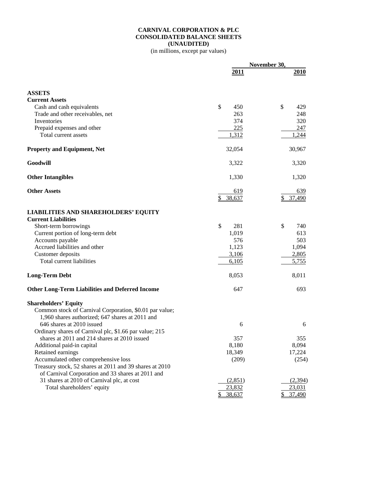## **CARNIVAL CORPORATION & PLC CONSOLIDATED BALANCE SHEETS (UNAUDITED)**

(in millions, except par values)

|                                                                                                            | November 30,        |               |  |
|------------------------------------------------------------------------------------------------------------|---------------------|---------------|--|
|                                                                                                            | 2011                | <u> 2010 </u> |  |
| <b>ASSETS</b>                                                                                              |                     |               |  |
| <b>Current Assets</b>                                                                                      |                     |               |  |
| Cash and cash equivalents                                                                                  | $\mathbb{S}$<br>450 | \$<br>429     |  |
| Trade and other receivables, net                                                                           | 263                 | 248           |  |
| Inventories                                                                                                | 374                 | 320           |  |
| Prepaid expenses and other                                                                                 | 225                 | 247           |  |
| Total current assets                                                                                       | 1,312               | 1,244         |  |
| <b>Property and Equipment, Net</b>                                                                         | 32,054              | 30,967        |  |
| Goodwill                                                                                                   | 3,322               | 3,320         |  |
| <b>Other Intangibles</b>                                                                                   | 1,330               | 1,320         |  |
| <b>Other Assets</b>                                                                                        | 619                 | 639           |  |
|                                                                                                            | \$38,637            | 37,490<br>S.  |  |
| <b>LIABILITIES AND SHAREHOLDERS' EQUITY</b>                                                                |                     |               |  |
| <b>Current Liabilities</b>                                                                                 |                     |               |  |
| Short-term borrowings                                                                                      | \$<br>281           | \$<br>740     |  |
| Current portion of long-term debt                                                                          | 1,019               | 613           |  |
| Accounts payable                                                                                           | 576                 | 503           |  |
| Accrued liabilities and other                                                                              | 1,123               | 1,094         |  |
| Customer deposits<br>Total current liabilities                                                             | 3,106               | 2,805         |  |
|                                                                                                            | 6,105               | 5,755         |  |
| <b>Long-Term Debt</b>                                                                                      | 8,053               | 8,011         |  |
| <b>Other Long-Term Liabilities and Deferred Income</b>                                                     | 647                 | 693           |  |
| <b>Shareholders' Equity</b>                                                                                |                     |               |  |
| Common stock of Carnival Corporation, \$0.01 par value;<br>1,960 shares authorized; 647 shares at 2011 and |                     |               |  |
| 646 shares at 2010 issued                                                                                  | 6                   | 6             |  |
| Ordinary shares of Carnival plc, \$1.66 par value; 215                                                     |                     |               |  |
| shares at 2011 and 214 shares at 2010 issued                                                               | 357                 | 355           |  |
| Additional paid-in capital                                                                                 | 8,180               | 8,094         |  |
| Retained earnings                                                                                          | 18,349              | 17,224        |  |
| Accumulated other comprehensive loss                                                                       | (209)               | (254)         |  |
| Treasury stock, 52 shares at 2011 and 39 shares at 2010                                                    |                     |               |  |
| of Carnival Corporation and 33 shares at 2011 and                                                          |                     |               |  |
| 31 shares at 2010 of Carnival plc, at cost                                                                 | (2,851)             | (2, 394)      |  |
| Total shareholders' equity                                                                                 | 23,832              | 23,031        |  |
|                                                                                                            | \$<br>38,637        | 37,490        |  |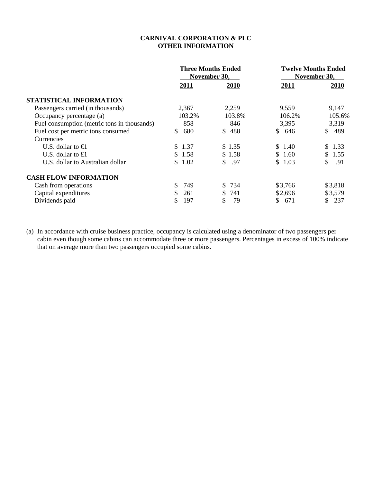## **CARNIVAL CORPORATION & PLC OTHER INFORMATION**

|                                             |            | <b>Three Months Ended</b><br>November 30, | <b>Twelve Months Ended</b><br>November 30, |           |  |  |
|---------------------------------------------|------------|-------------------------------------------|--------------------------------------------|-----------|--|--|
|                                             | 2011       | 2010                                      | 2011                                       | 2010      |  |  |
| STATISTICAL INFORMATION                     |            |                                           |                                            |           |  |  |
| Passengers carried (in thousands)           | 2,367      | 2,259                                     | 9,559                                      | 9,147     |  |  |
| Occupancy percentage (a)                    | 103.2%     | 103.8%                                    | 106.2%                                     | 105.6%    |  |  |
| Fuel consumption (metric tons in thousands) | 858        | 846                                       | 3,395                                      | 3,319     |  |  |
| Fuel cost per metric tons consumed          | 680<br>S.  | 488<br>\$.                                | \$<br>646                                  | \$<br>489 |  |  |
| Currencies                                  |            |                                           |                                            |           |  |  |
| U.S. dollar to $\bigoplus$                  | 1.37<br>S. | \$1.35                                    | \$1.40                                     | \$ 1.33   |  |  |
| U.S. dollar to £1                           | \$1.58     | \$1.58                                    | \$1.60                                     | \$1.55    |  |  |
| U.S. dollar to Australian dollar            | 1.02<br>S. | \$<br>.97                                 | \$1.03                                     | .91       |  |  |
| <b>CASH FLOW INFORMATION</b>                |            |                                           |                                            |           |  |  |
| Cash from operations                        | 749<br>S.  | \$ 734                                    | \$3,766                                    | \$3,818   |  |  |
| Capital expenditures                        | 261<br>S   | 741<br>S.                                 | \$2,696                                    | \$3,579   |  |  |
| Dividends paid                              | 197<br>S   | S<br>79                                   | 671<br>S.                                  | 237<br>S. |  |  |

(a) In accordance with cruise business practice, occupancy is calculated using a denominator of two passengers per cabin even though some cabins can accommodate three or more passengers. Percentages in excess of 100% indicate that on average more than two passengers occupied some cabins.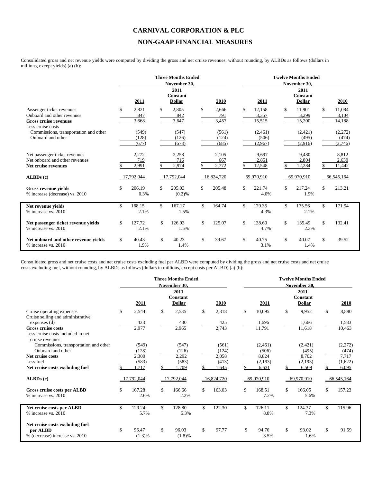# **CARNIVAL CORPORATION & PLC NON-GAAP FINANCIAL MEASURES**

Consolidated gross and net revenue yields were computed by dividing the gross and net cruise revenues, without rounding, by ALBDs as follows (dollars in millions, except yields) (a) (b):

|                                                                                                              |                             |     | <b>Three Months Ended</b><br>November 30, |                             |                                 |     | <b>Twelve Months Ended</b><br>November 30, |                                 |
|--------------------------------------------------------------------------------------------------------------|-----------------------------|-----|-------------------------------------------|-----------------------------|---------------------------------|-----|--------------------------------------------|---------------------------------|
|                                                                                                              | 2011                        |     | 2011<br><b>Constant</b><br><b>Dollar</b>  | 2010                        | 2011                            |     | 2011<br><b>Constant</b><br><b>Dollar</b>   | 2010                            |
| Passenger ticket revenues<br>Onboard and other revenues<br><b>Gross cruise revenues</b><br>Less cruise costs | \$<br>2,821<br>847<br>3,668 | \$  | 2,805<br>842<br>3,647                     | \$<br>2,666<br>791<br>3,457 | \$<br>12,158<br>3,357<br>15,515 | \$. | 11,901<br>3,299<br>15,200                  | \$<br>11,084<br>3,104<br>14,188 |
| Commissions, transportation and other<br>Onboard and other                                                   | (549)<br>(128)<br>(677)     |     | (547)<br>(126)<br>(673)                   | (561)<br>(124)<br>(685)     | (2,461)<br>(506)<br>(2,967)     |     | (2,421)<br>(495)<br>(2,916)                | (2,272)<br>(474)<br>(2,746)     |
| Net passenger ticket revenues<br>Net onboard and other revenues<br>Net cruise revenues                       | 2,272<br>719<br>2,991       |     | 2,258<br>716<br>2,974                     | 2.105<br>667<br>2,772       | 9,697<br>2,851<br>12,548        |     | 9,480<br>2.804<br>12,284                   | 8,812<br>2.630<br>11,442        |
| ALBDs (c)                                                                                                    | 17,792,044                  |     | 17,792,044                                | 16,824,720                  | 69,970,910                      |     | 69,970,910                                 | 66,545,164                      |
| <b>Gross revenue vields</b><br>% increase (decrease) vs. 2010                                                | \$<br>206.19<br>0.3%        | \$  | 205.03<br>(0.2)%                          | \$<br>205.48                | \$<br>221.74<br>4.0%            | \$  | 217.24<br>1.9%                             | \$<br>213.21                    |
| Net revenue yields<br>% increase vs. 2010                                                                    | \$<br>168.15<br>2.1%        | \$  | 167.17<br>1.5%                            | \$<br>164.74                | \$<br>179.35<br>4.3%            | \$  | 175.56<br>2.1%                             | \$<br>171.94                    |
| Net passenger ticket revenue yields<br>% increase vs. 2010                                                   | \$<br>127.72<br>2.1%        | \$. | 126.93<br>1.5%                            | \$<br>125.07                | \$<br>138.60<br>4.7%            | \$  | 135.49<br>2.3%                             | \$<br>132.41                    |
| Net onboard and other revenue yields<br>% increase vs. 2010                                                  | \$<br>40.43<br>1.9%         | \$  | 40.23<br>1.4%                             | \$<br>39.67                 | \$<br>40.75<br>3.1%             | \$  | 40.07<br>1.4%                              | \$<br>39.52                     |

Consolidated gross and net cruise costs and net cruise costs excluding fuel per ALBD were computed by dividing the gross and net cruise costs and net cruise costs excluding fuel, without rounding, by ALBDs as follows (dollars in millions, except costs per ALBD) (a) (b):

|                                                                               |                          |     | <b>Three Months Ended</b><br>November 30, |              |                      |     | <b>Twelve Months Ended</b><br>November 30, |              |
|-------------------------------------------------------------------------------|--------------------------|-----|-------------------------------------------|--------------|----------------------|-----|--------------------------------------------|--------------|
|                                                                               | 2011                     |     | 2011<br><b>Constant</b><br><b>Dollar</b>  | 2010         | 2011                 |     | 2011<br><b>Constant</b><br><b>Dollar</b>   | 2010         |
| Cruise operating expenses<br>Cruise selling and administrative                | \$<br>2,544              | \$  | 2,535                                     | \$<br>2,318  | \$<br>10,095         | \$  | 9,952                                      | \$<br>8,880  |
| expenses $(d)$                                                                | 433                      |     | 430                                       | 425          | 1.696                |     | 1,666                                      | 1,583        |
| <b>Gross cruise costs</b>                                                     | 2,977                    |     | 2,965                                     | 2,743        | 11,791               |     | 11,618                                     | 10,463       |
| Less cruise costs included in net<br>cruise revenues                          |                          |     |                                           |              |                      |     |                                            |              |
| Commissions, transportation and other                                         | (549)                    |     | (547)                                     | (561)        | (2,461)              |     | (2,421)                                    | (2,272)      |
| Onboard and other                                                             | (128)                    |     | (126)                                     | (124)        | (506)                |     | (495)                                      | (474)        |
| Net cruise costs                                                              | 2,300                    |     | 2,292                                     | 2,058        | 8,824                |     | 8,702                                      | 7,717        |
| Less fuel                                                                     | (583)                    |     | (583)                                     | (413)        | (2,193)              |     | (2,193)                                    | (1,622)      |
| Net cruise costs excluding fuel                                               | 1,717                    |     | 1,709                                     | .645         | 6,631                |     | 6,509                                      | 6,095        |
| ALBDs(c)                                                                      | 17,792,044               |     | 17,792,044                                | 16,824,720   | 69,970,910           |     | 69,970,910                                 | 66,545,164   |
| Gross cruise costs per ALBD<br>% increase vs. 2010                            | \$<br>167.28<br>2.6%     | \$  | 166.66<br>2.2%                            | \$<br>163.03 | \$<br>168.51<br>7.2% | \$  | 166.05<br>5.6%                             | \$<br>157.23 |
| Net cruise costs per ALBD                                                     | \$<br>129.24             | \$. | 128.80                                    | \$<br>122.30 | \$<br>126.11         | \$. | 124.37                                     | \$<br>115.96 |
| % increase vs. 2010                                                           | 5.7%                     |     | 5.3%                                      |              | 8.8%                 |     | 7.3%                                       |              |
| Net cruise costs excluding fuel<br>per ALBD<br>% (decrease) increase vs. 2010 | \$<br>96.47<br>$(1.3)\%$ | \$  | 96.03<br>$(1.8)\%$                        | \$<br>97.77  | \$<br>94.76<br>3.5%  | \$  | 93.02<br>1.6%                              | \$<br>91.59  |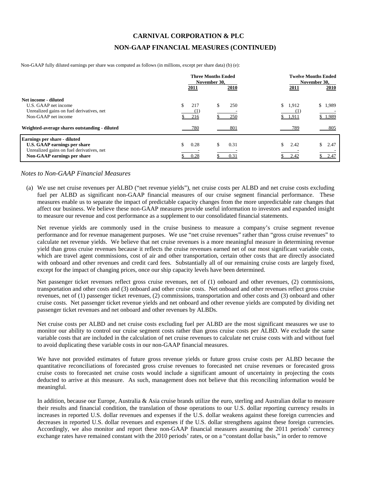## **CARNIVAL CORPORATION & PLC**

## **NON-GAAP FINANCIAL MEASURES (CONTINUED)**

Non-GAAP fully diluted earnings per share was computed as follows (in millions, except per share data) (b) (e):

|                                                                                                                                                 | 2011         | <b>Three Months Ended</b><br>November 30.<br><b>2010</b> | <b>Twelve Months Ended</b><br>November 30.<br><b>2010</b><br>2011 |
|-------------------------------------------------------------------------------------------------------------------------------------------------|--------------|----------------------------------------------------------|-------------------------------------------------------------------|
| Net income - diluted<br>U.S. GAAP net income<br>Unrealized gains on fuel derivatives, net<br>Non-GAAP net income                                | 217<br>216   | \$<br>250<br>250                                         | \$1,912<br>\$1,989<br>\$1,989<br>1,911                            |
| Weighted-average shares outstanding - diluted                                                                                                   | 780          | 801                                                      | 789<br>805                                                        |
| <b>Earnings per share - diluted</b><br>U.S. GAAP earnings per share<br>Unrealized gains on fuel derivatives, net<br>Non-GAAP earnings per share | 0.28<br>0.28 | 0.31<br>\$.<br>0.31                                      | 2.42<br>2.47<br>\$2.47<br>2.42                                    |

### *Notes to Non-GAAP Financial Measures*

(a) We use net cruise revenues per ALBD ("net revenue yields"), net cruise costs per ALBD and net cruise costs excluding fuel per ALBD as significant non-GAAP financial measures of our cruise segment financial performance. These measures enable us to separate the impact of predictable capacity changes from the more unpredictable rate changes that affect our business. We believe these non-GAAP measures provide useful information to investors and expanded insight to measure our revenue and cost performance as a supplement to our consolidated financial statements.

Net revenue yields are commonly used in the cruise business to measure a company's cruise segment revenue performance and for revenue management purposes. We use "net cruise revenues" rather than "gross cruise revenues" to calculate net revenue yields. We believe that net cruise revenues is a more meaningful measure in determining revenue yield than gross cruise revenues because it reflects the cruise revenues earned net of our most significant variable costs, which are travel agent commissions, cost of air and other transportation, certain other costs that are directly associated with onboard and other revenues and credit card fees. Substantially all of our remaining cruise costs are largely fixed, except for the impact of changing prices, once our ship capacity levels have been determined.

Net passenger ticket revenues reflect gross cruise revenues, net of (1) onboard and other revenues, (2) commissions, transportation and other costs and (3) onboard and other cruise costs. Net onboard and other revenues reflect gross cruise revenues, net of (1) passenger ticket revenues, (2) commissions, transportation and other costs and (3) onboard and other cruise costs. Net passenger ticket revenue yields and net onboard and other revenue yields are computed by dividing net passenger ticket revenues and net onboard and other revenues by ALBDs.

Net cruise costs per ALBD and net cruise costs excluding fuel per ALBD are the most significant measures we use to monitor our ability to control our cruise segment costs rather than gross cruise costs per ALBD. We exclude the same variable costs that are included in the calculation of net cruise revenues to calculate net cruise costs with and without fuel to avoid duplicating these variable costs in our non-GAAP financial measures.

We have not provided estimates of future gross revenue yields or future gross cruise costs per ALBD because the quantitative reconciliations of forecasted gross cruise revenues to forecasted net cruise revenues or forecasted gross cruise costs to forecasted net cruise costs would include a significant amount of uncertainty in projecting the costs deducted to arrive at this measure. As such, management does not believe that this reconciling information would be meaningful.

In addition, because our Europe, Australia & Asia cruise brands utilize the euro, sterling and Australian dollar to measure their results and financial condition, the translation of those operations to our U.S. dollar reporting currency results in increases in reported U.S. dollar revenues and expenses if the U.S. dollar weakens against these foreign currencies and decreases in reported U.S. dollar revenues and expenses if the U.S. dollar strengthens against these foreign currencies. Accordingly, we also monitor and report these non-GAAP financial measures assuming the 2011 periods' currency exchange rates have remained constant with the 2010 periods' rates, or on a "constant dollar basis," in order to remove